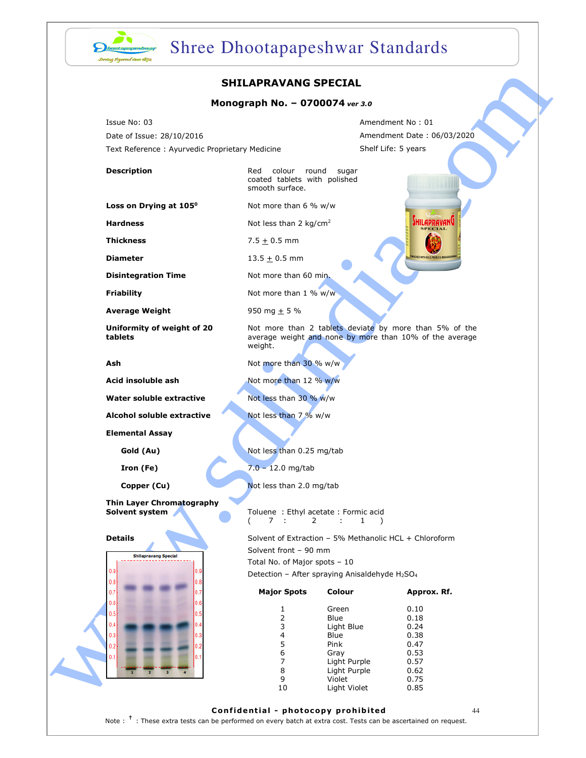

# Shree Dhootapapeshwar Standards

### SHILAPRAVANG SPECIAL

### Monograph No. – 0700074 ver 3.0

### **Average Weight** 950 mg  $\pm$  5 %



|                                                                                             | <b>SHILAPRAVANG SPECIAL</b>                                                                                                                     |                              |                                                                                                                   |  |
|---------------------------------------------------------------------------------------------|-------------------------------------------------------------------------------------------------------------------------------------------------|------------------------------|-------------------------------------------------------------------------------------------------------------------|--|
|                                                                                             | Monograph No. - 0700074 ver 3.0                                                                                                                 |                              |                                                                                                                   |  |
| Issue No: 03<br>Date of Issue: 28/10/2016<br>Text Reference: Ayurvedic Proprietary Medicine |                                                                                                                                                 |                              | Amendment No: 01<br>Amendment Date: 06/03/2020<br>Shelf Life: 5 years                                             |  |
| <b>Description</b>                                                                          | Red colour round<br>coated tablets with polished<br>smooth surface.                                                                             | sugar                        |                                                                                                                   |  |
| Loss on Drying at 105 <sup>0</sup>                                                          | Not more than 6 % w/w                                                                                                                           |                              |                                                                                                                   |  |
| <b>Hardness</b>                                                                             | Not less than 2 kg/cm <sup>2</sup>                                                                                                              |                              | JHILAPRAVANU                                                                                                      |  |
| <b>Thickness</b>                                                                            | 7.5 $\pm$ 0.5 mm                                                                                                                                |                              |                                                                                                                   |  |
| <b>Diameter</b>                                                                             | 13.5 $\pm$ 0.5 mm                                                                                                                               |                              | <b>HED WITH GOLD PFARLS &amp; MAKAR</b>                                                                           |  |
| <b>Disintegration Time</b>                                                                  | Not more than 60 min.                                                                                                                           |                              |                                                                                                                   |  |
| <b>Friability</b>                                                                           | Not more than 1 % w/w                                                                                                                           |                              |                                                                                                                   |  |
| <b>Average Weight</b>                                                                       | 950 mg $+$ 5 %                                                                                                                                  |                              |                                                                                                                   |  |
| Uniformity of weight of 20<br>tablets                                                       | weight.                                                                                                                                         |                              | Not more than 2 tablets deviate by more than 5% of the<br>average weight and none by more than 10% of the average |  |
| Ash                                                                                         | Not more than 30 % w/w                                                                                                                          |                              |                                                                                                                   |  |
| Acid insoluble ash                                                                          | Not more than 12 % w/w                                                                                                                          |                              |                                                                                                                   |  |
| Water soluble extractive                                                                    | Not less than 30 % w/w                                                                                                                          |                              |                                                                                                                   |  |
| Alcohol soluble extractive                                                                  | Not less than 7 % w/w                                                                                                                           |                              |                                                                                                                   |  |
| <b>Elemental Assay</b>                                                                      |                                                                                                                                                 |                              |                                                                                                                   |  |
| Gold (Au)                                                                                   | Not less than 0.25 mg/tab                                                                                                                       |                              |                                                                                                                   |  |
| Iron (Fe)                                                                                   | $7.0 - 12.0$ mg/tab                                                                                                                             |                              |                                                                                                                   |  |
| Copper (Cu)                                                                                 | Not less than 2.0 mg/tab                                                                                                                        |                              |                                                                                                                   |  |
| Thin Layer Chromatography<br>Solvent system                                                 | Toluene : Ethyl acetate : Formic acid<br>7:<br>2                                                                                                | ÷.<br>$\mathbf{1}$           |                                                                                                                   |  |
| <b>Details</b>                                                                              | Solvent of Extraction - 5% Methanolic HCL + Chloroform<br>Solvent front - 90 mm<br><b>Shilapravang Special</b><br>Total No. of Major spots - 10 |                              |                                                                                                                   |  |
|                                                                                             |                                                                                                                                                 |                              |                                                                                                                   |  |
| 0.9<br>0.9<br>0.8<br>0.8                                                                    | Detection - After spraying Anisaldehyde H <sub>2</sub> SO <sub>4</sub>                                                                          |                              |                                                                                                                   |  |
| 0.7                                                                                         | <b>Major Spots</b>                                                                                                                              | Colour                       | Approx. Rf.                                                                                                       |  |
| 0.6<br>0.5                                                                                  | $\mathbf{1}$                                                                                                                                    | Green                        | 0.10                                                                                                              |  |
| 0.4                                                                                         | $\overline{2}$<br>3                                                                                                                             | Blue<br>Light Blue           | 0.18<br>0.24                                                                                                      |  |
| 0.3<br>13                                                                                   | 4                                                                                                                                               | Blue                         | 0.38                                                                                                              |  |
| 0.2                                                                                         | 5                                                                                                                                               | Pink                         | 0.47                                                                                                              |  |
| 0.1                                                                                         | 6<br>7                                                                                                                                          | Gray                         | 0.53                                                                                                              |  |
|                                                                                             | 8                                                                                                                                               | Light Purple<br>Light Purple | 0.57<br>0.62                                                                                                      |  |
|                                                                                             | 9                                                                                                                                               | Violet                       | 0.75                                                                                                              |  |
|                                                                                             | 10                                                                                                                                              | Light Violet                 | 0.85                                                                                                              |  |
|                                                                                             |                                                                                                                                                 |                              |                                                                                                                   |  |

### Confidential - photocopy prohibited 44

Note : <sup>†</sup> : These extra tests can be performed on every batch at extra cost. Tests can be ascertained on request.